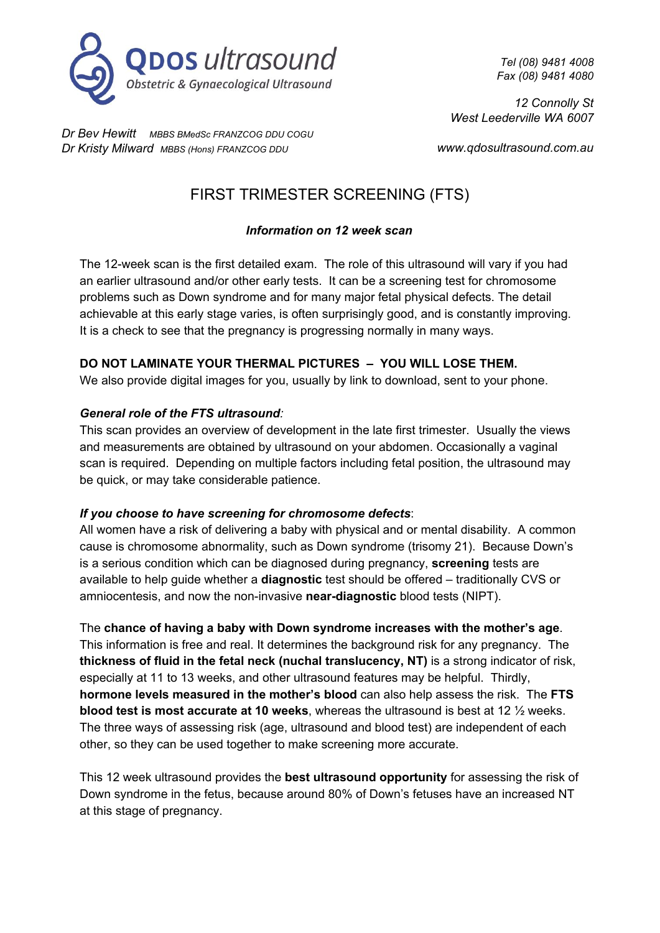

*Dr Bev Hewitt MBBS BMedSc FRANZCOG DDU COGU Dr Kristy Milward MBBS (Hons) FRANZCOG DDU*

*Tel (08) 9481 4008 Fax (08) 9481 4080*

*12 Connolly St West Leederville WA 6007*

*www.qdosultrasound.com.au*

# FIRST TRIMESTER SCREENING (FTS)

## *Information on 12 week scan*

The 12-week scan is the first detailed exam. The role of this ultrasound will vary if you had an earlier ultrasound and/or other early tests. It can be a screening test for chromosome problems such as Down syndrome and for many major fetal physical defects. The detail achievable at this early stage varies, is often surprisingly good, and is constantly improving. It is a check to see that the pregnancy is progressing normally in many ways.

## **DO NOT LAMINATE YOUR THERMAL PICTURES – YOU WILL LOSE THEM.**

We also provide digital images for you, usually by link to download, sent to your phone.

## *General role of the FTS ultrasound:*

This scan provides an overview of development in the late first trimester. Usually the views and measurements are obtained by ultrasound on your abdomen. Occasionally a vaginal scan is required. Depending on multiple factors including fetal position, the ultrasound may be quick, or may take considerable patience.

## *If you choose to have screening for chromosome defects*:

All women have a risk of delivering a baby with physical and or mental disability. A common cause is chromosome abnormality, such as Down syndrome (trisomy 21). Because Down's is a serious condition which can be diagnosed during pregnancy, **screening** tests are available to help guide whether a **diagnostic** test should be offered – traditionally CVS or amniocentesis, and now the non-invasive **near-diagnostic** blood tests (NIPT).

The **chance of having a baby with Down syndrome increases with the mother's age**. This information is free and real. It determines the background risk for any pregnancy. The **thickness of fluid in the fetal neck (nuchal translucency, NT)** is a strong indicator of risk, especially at 11 to 13 weeks, and other ultrasound features may be helpful. Thirdly, **hormone levels measured in the mother's blood** can also help assess the risk. The **FTS blood test is most accurate at 10 weeks**, whereas the ultrasound is best at 12 ½ weeks. The three ways of assessing risk (age, ultrasound and blood test) are independent of each other, so they can be used together to make screening more accurate.

This 12 week ultrasound provides the **best ultrasound opportunity** for assessing the risk of Down syndrome in the fetus, because around 80% of Down's fetuses have an increased NT at this stage of pregnancy.